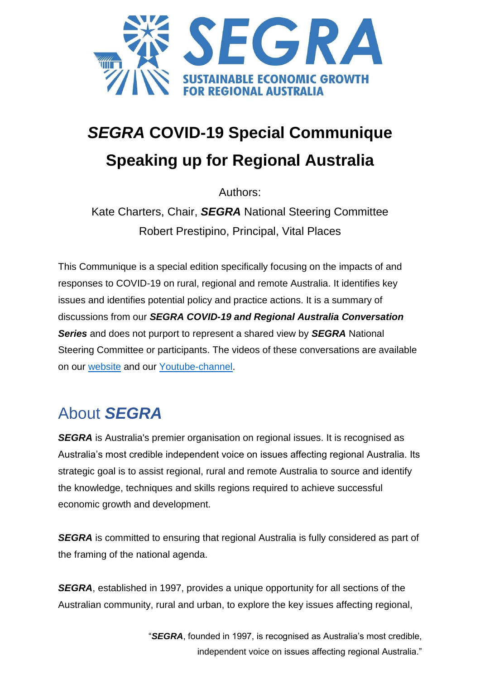

# *SEGRA* **COVID-19 Special Communique Speaking up for Regional Australia**

Authors:

Kate Charters, Chair, *SEGRA* National Steering Committee Robert Prestipino, Principal, Vital Places

This Communique is a special edition specifically focusing on the impacts of and responses to COVID-19 on rural, regional and remote Australia. It identifies key issues and identifies potential policy and practice actions. It is a summary of discussions from our *SEGRA COVID-19 and Regional Australia Conversation Series* and does not purport to represent a shared view by *SEGRA* National Steering Committee or participants. The videos of these conversations are available on our [website](https://segra.com.au/latest-news/category/webinars) and our [Youtube-channel.](https://www.youtube.com/watch?v=XqnukJKKbW4&list=PLtOXa4OwTTuM-K6jTyKee1St5993DggYA&index=1)

# About *SEGRA*

**SEGRA** is Australia's premier organisation on regional issues. It is recognised as Australia's most credible independent voice on issues affecting regional Australia. Its strategic goal is to assist regional, rural and remote Australia to source and identify the knowledge, techniques and skills regions required to achieve successful economic growth and development.

**SEGRA** is committed to ensuring that regional Australia is fully considered as part of the framing of the national agenda.

*SEGRA*, established in 1997, provides a unique opportunity for all sections of the Australian community, rural and urban, to explore the key issues affecting regional,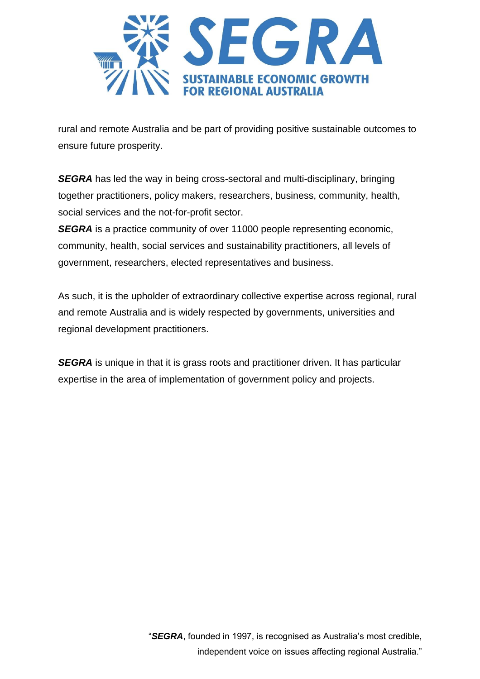

rural and remote Australia and be part of providing positive sustainable outcomes to ensure future prosperity.

*SEGRA* has led the way in being cross-sectoral and multi-disciplinary, bringing together practitioners, policy makers, researchers, business, community, health, social services and the not-for-profit sector.

**SEGRA** is a practice community of over 11000 people representing economic, community, health, social services and sustainability practitioners, all levels of government, researchers, elected representatives and business.

As such, it is the upholder of extraordinary collective expertise across regional, rural and remote Australia and is widely respected by governments, universities and regional development practitioners.

**SEGRA** is unique in that it is grass roots and practitioner driven. It has particular expertise in the area of implementation of government policy and projects.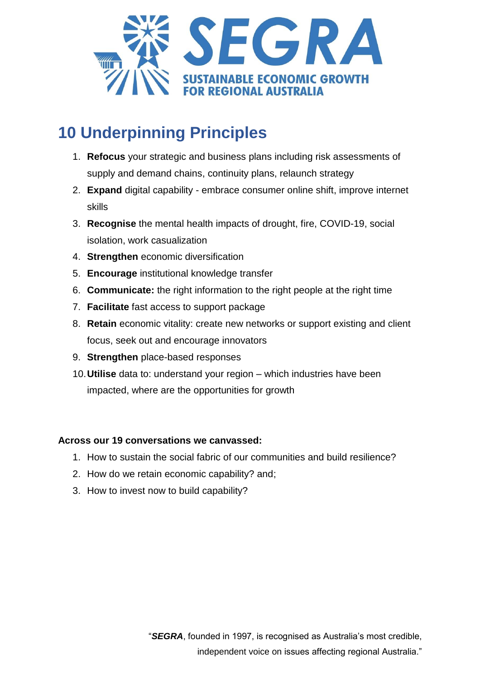

# **10 Underpinning Principles**

- 1. **Refocus** your strategic and business plans including risk assessments of supply and demand chains, continuity plans, relaunch strategy
- 2. **Expand** digital capability embrace consumer online shift, improve internet skills
- 3. **Recognise** the mental health impacts of drought, fire, COVID-19, social isolation, work casualization
- 4. **Strengthen** economic diversification
- 5. **Encourage** institutional knowledge transfer
- 6. **Communicate:** the right information to the right people at the right time
- 7. **Facilitate** fast access to support package
- 8. **Retain** economic vitality: create new networks or support existing and client focus, seek out and encourage innovators
- 9. **Strengthen** place-based responses
- 10.**Utilise** data to: understand your region which industries have been impacted, where are the opportunities for growth

#### **Across our 19 conversations we canvassed:**

- 1. How to sustain the social fabric of our communities and build resilience?
- 2. How do we retain economic capability? and;
- 3. How to invest now to build capability?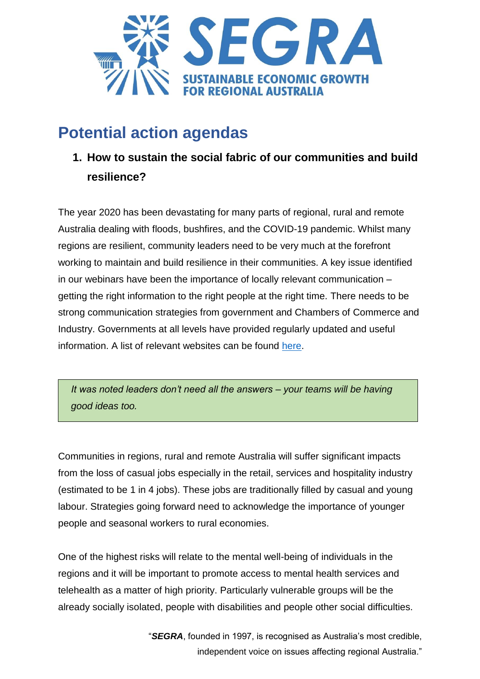

# **Potential action agendas**

**1. How to sustain the social fabric of our communities and build resilience?**

The year 2020 has been devastating for many parts of regional, rural and remote Australia dealing with floods, bushfires, and the COVID-19 pandemic. Whilst many regions are resilient, community leaders need to be very much at the forefront working to maintain and build resilience in their communities. A key issue identified in our webinars have been the importance of locally relevant communication – getting the right information to the right people at the right time. There needs to be strong communication strategies from government and Chambers of Commerce and Industry. Governments at all levels have provided regularly updated and useful information. A list of relevant websites can be found [here.](https://segra.com.au/latest-news/a-conversation-for-regional-australia-about-covid-19/)

*It was noted leaders don't need all the answers – your teams will be having good ideas too.*

Communities in regions, rural and remote Australia will suffer significant impacts from the loss of casual jobs especially in the retail, services and hospitality industry (estimated to be 1 in 4 jobs). These jobs are traditionally filled by casual and young labour. Strategies going forward need to acknowledge the importance of younger people and seasonal workers to rural economies.

One of the highest risks will relate to the mental well-being of individuals in the regions and it will be important to promote access to mental health services and telehealth as a matter of high priority. Particularly vulnerable groups will be the already socially isolated, people with disabilities and people other social difficulties.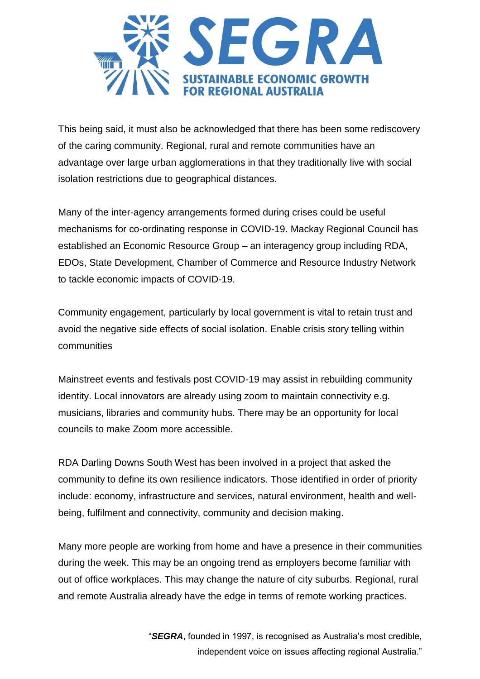

This being said, it must also be acknowledged that there has been some rediscovery of the caring community. Regional, rural and remote communities have an advantage over large urban agglomerations in that they traditionally live with social isolation restrictions due to geographical distances.

Many of the inter-agency arrangements formed during crises could be useful mechanisms for co-ordinating response in COVID-19. Mackay Regional Council has established an Economic Resource Group – an interagency group including RDA, EDOs, State Development, Chamber of Commerce and Resource Industry Network to tackle economic impacts of COVID-19.

Community engagement, particularly by local government is vital to retain trust and avoid the negative side effects of social isolation. Enable crisis story telling within communities

Mainstreet events and festivals post COVID-19 may assist in rebuilding community identity. Local innovators are already using zoom to maintain connectivity e.g. musicians, libraries and community hubs. There may be an opportunity for local councils to make Zoom more accessible.

RDA Darling Downs South West has been involved in a project that asked the community to define its own resilience indicators. Those identified in order of priority include: economy, infrastructure and services, natural environment, health and wellbeing, fulfilment and connectivity, community and decision making.

Many more people are working from home and have a presence in their communities during the week. This may be an ongoing trend as employers become familiar with out of office workplaces. This may change the nature of city suburbs. Regional, rural and remote Australia already have the edge in terms of remote working practices.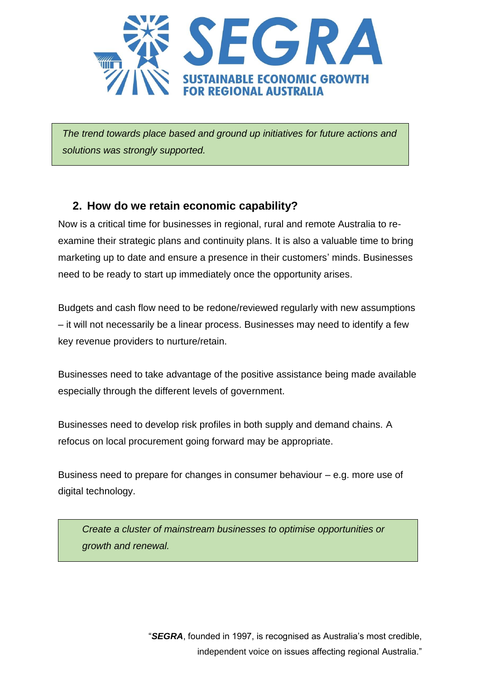

*The trend towards place based and ground up initiatives for future actions and solutions was strongly supported.* 

### **2. How do we retain economic capability?**

Now is a critical time for businesses in regional, rural and remote Australia to reexamine their strategic plans and continuity plans. It is also a valuable time to bring marketing up to date and ensure a presence in their customers' minds. Businesses need to be ready to start up immediately once the opportunity arises.

Budgets and cash flow need to be redone/reviewed regularly with new assumptions – it will not necessarily be a linear process. Businesses may need to identify a few key revenue providers to nurture/retain.

Businesses need to take advantage of the positive assistance being made available especially through the different levels of government.

Businesses need to develop risk profiles in both supply and demand chains. A refocus on local procurement going forward may be appropriate.

Business need to prepare for changes in consumer behaviour – e.g. more use of digital technology.

*Create a cluster of mainstream businesses to optimise opportunities or growth and renewal.*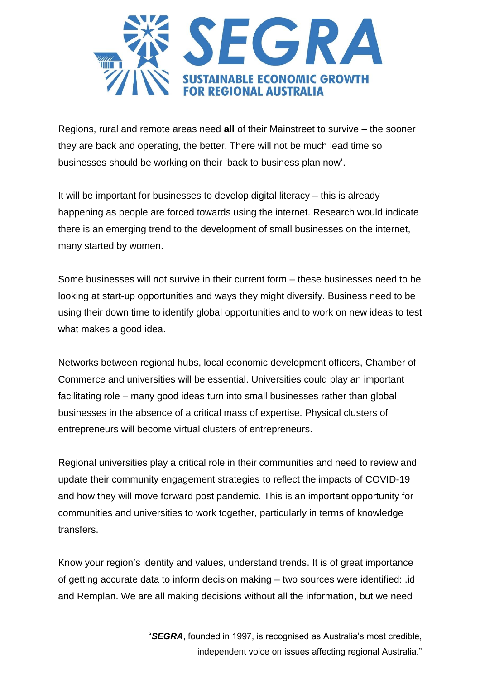

Regions, rural and remote areas need **all** of their Mainstreet to survive – the sooner they are back and operating, the better. There will not be much lead time so businesses should be working on their 'back to business plan now'.

It will be important for businesses to develop digital literacy – this is already happening as people are forced towards using the internet. Research would indicate there is an emerging trend to the development of small businesses on the internet, many started by women.

Some businesses will not survive in their current form – these businesses need to be looking at start-up opportunities and ways they might diversify. Business need to be using their down time to identify global opportunities and to work on new ideas to test what makes a good idea.

Networks between regional hubs, local economic development officers, Chamber of Commerce and universities will be essential. Universities could play an important facilitating role – many good ideas turn into small businesses rather than global businesses in the absence of a critical mass of expertise. Physical clusters of entrepreneurs will become virtual clusters of entrepreneurs.

Regional universities play a critical role in their communities and need to review and update their community engagement strategies to reflect the impacts of COVID-19 and how they will move forward post pandemic. This is an important opportunity for communities and universities to work together, particularly in terms of knowledge transfers.

Know your region's identity and values, understand trends. It is of great importance of getting accurate data to inform decision making – two sources were identified: .id and Remplan. We are all making decisions without all the information, but we need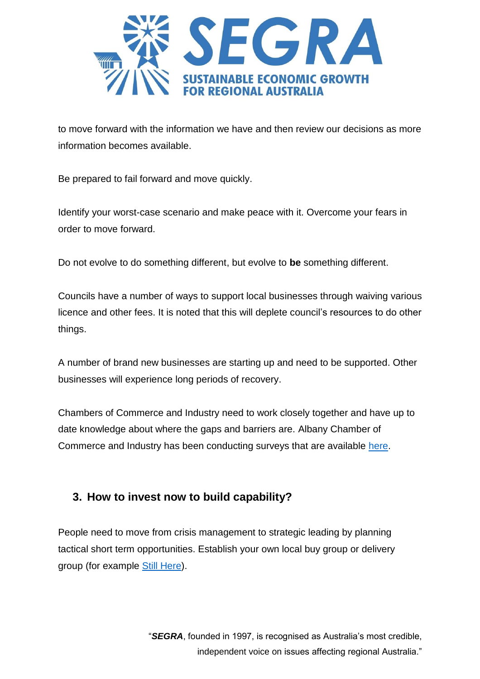

to move forward with the information we have and then review our decisions as more information becomes available.

Be prepared to fail forward and move quickly.

Identify your worst-case scenario and make peace with it. Overcome your fears in order to move forward.

Do not evolve to do something different, but evolve to **be** something different.

Councils have a number of ways to support local businesses through waiving various licence and other fees. It is noted that this will deplete council's resources to do other things.

A number of brand new businesses are starting up and need to be supported. Other businesses will experience long periods of recovery.

Chambers of Commerce and Industry need to work closely together and have up to date knowledge about where the gaps and barriers are. Albany Chamber of Commerce and Industry has been conducting surveys that are available [here.](wwww.albanycci.com.au/chamber-blog/pulse-survey)

## **3. How to invest now to build capability?**

People need to move from crisis management to strategic leading by planning tactical short term opportunities. Establish your own local buy group or delivery group (for example [Still Here\)](http://www.stillhere.com.au/).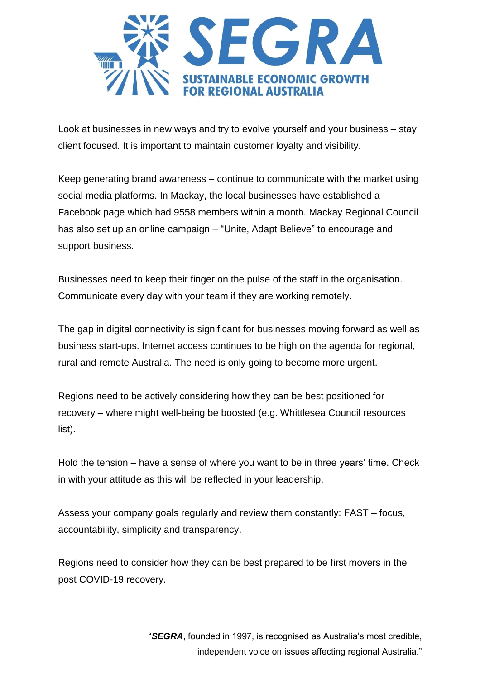

Look at businesses in new ways and try to evolve yourself and your business – stay client focused. It is important to maintain customer loyalty and visibility.

Keep generating brand awareness – continue to communicate with the market using social media platforms. In Mackay, the local businesses have established a Facebook page which had 9558 members within a month. Mackay Regional Council has also set up an online campaign – "Unite, Adapt Believe" to encourage and support business.

Businesses need to keep their finger on the pulse of the staff in the organisation. Communicate every day with your team if they are working remotely.

The gap in digital connectivity is significant for businesses moving forward as well as business start-ups. Internet access continues to be high on the agenda for regional, rural and remote Australia. The need is only going to become more urgent.

Regions need to be actively considering how they can be best positioned for recovery – where might well-being be boosted (e.g. Whittlesea Council resources list).

Hold the tension – have a sense of where you want to be in three years' time. Check in with your attitude as this will be reflected in your leadership.

Assess your company goals regularly and review them constantly: FAST – focus, accountability, simplicity and transparency.

Regions need to consider how they can be best prepared to be first movers in the post COVID-19 recovery.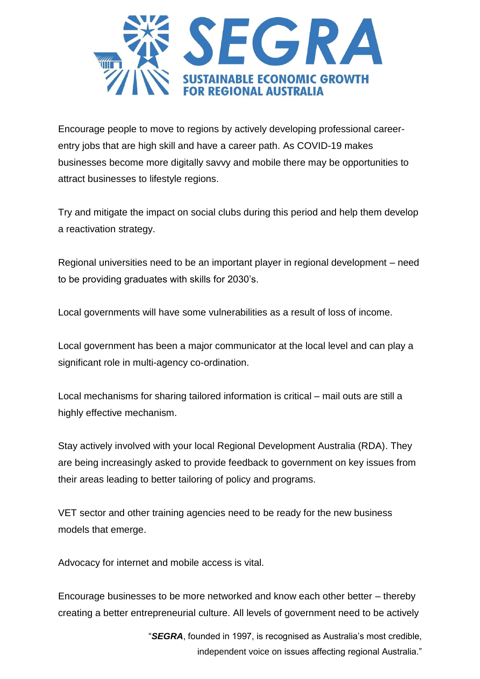

Encourage people to move to regions by actively developing professional careerentry jobs that are high skill and have a career path. As COVID-19 makes businesses become more digitally savvy and mobile there may be opportunities to attract businesses to lifestyle regions.

Try and mitigate the impact on social clubs during this period and help them develop a reactivation strategy.

Regional universities need to be an important player in regional development – need to be providing graduates with skills for 2030's.

Local governments will have some vulnerabilities as a result of loss of income.

Local government has been a major communicator at the local level and can play a significant role in multi-agency co-ordination.

Local mechanisms for sharing tailored information is critical – mail outs are still a highly effective mechanism.

Stay actively involved with your local Regional Development Australia (RDA). They are being increasingly asked to provide feedback to government on key issues from their areas leading to better tailoring of policy and programs.

VET sector and other training agencies need to be ready for the new business models that emerge.

Advocacy for internet and mobile access is vital.

Encourage businesses to be more networked and know each other better – thereby creating a better entrepreneurial culture. All levels of government need to be actively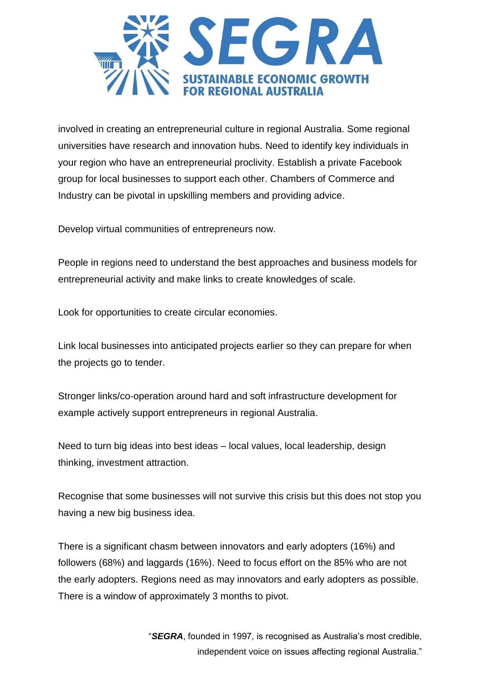

involved in creating an entrepreneurial culture in regional Australia. Some regional universities have research and innovation hubs. Need to identify key individuals in your region who have an entrepreneurial proclivity. Establish a private Facebook group for local businesses to support each other. Chambers of Commerce and Industry can be pivotal in upskilling members and providing advice.

Develop virtual communities of entrepreneurs now.

People in regions need to understand the best approaches and business models for entrepreneurial activity and make links to create knowledges of scale.

Look for opportunities to create circular economies.

Link local businesses into anticipated projects earlier so they can prepare for when the projects go to tender.

Stronger links/co-operation around hard and soft infrastructure development for example actively support entrepreneurs in regional Australia.

Need to turn big ideas into best ideas – local values, local leadership, design thinking, investment attraction.

Recognise that some businesses will not survive this crisis but this does not stop you having a new big business idea.

There is a significant chasm between innovators and early adopters (16%) and followers (68%) and laggards (16%). Need to focus effort on the 85% who are not the early adopters. Regions need as may innovators and early adopters as possible. There is a window of approximately 3 months to pivot.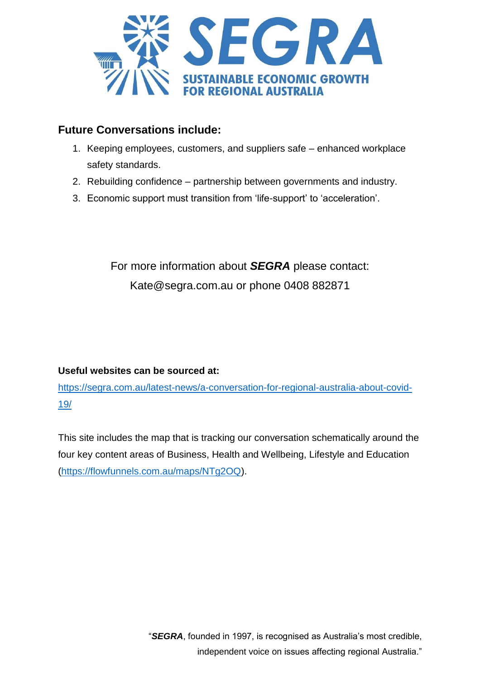

#### **Future Conversations include:**

- 1. Keeping employees, customers, and suppliers safe enhanced workplace safety standards.
- 2. Rebuilding confidence partnership between governments and industry.
- 3. Economic support must transition from 'life-support' to 'acceleration'.

For more information about *SEGRA* please contact: Kate@segra.com.au or phone 0408 882871

#### **Useful websites can be sourced at:**

[https://segra.com.au/latest-news/a-conversation-for-regional-australia-about-covid-](https://segra.com.au/latest-news/a-conversation-for-regional-australia-about-covid-19/)[19/](https://segra.com.au/latest-news/a-conversation-for-regional-australia-about-covid-19/)

This site includes the map that is tracking our conversation schematically around the four key content areas of Business, Health and Wellbeing, Lifestyle and Education [\(https://flowfunnels.com.au/maps/NTg2OQ\)](https://flowfunnels.com.au/maps/NTg2OQ).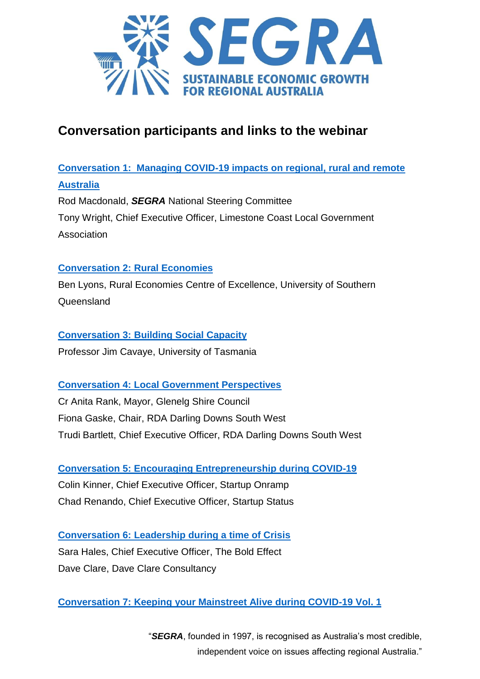

# **Conversation participants and links to the webinar**

# **[Conversation 1: Managing COVID-19 impacts on regional, rural and remote](https://www.youtube.com/watch?v=XqnukJKKbW4&list=PLtOXa4OwTTuM-K6jTyKee1St5993DggYA&index=1)  [Australia](https://www.youtube.com/watch?v=XqnukJKKbW4&list=PLtOXa4OwTTuM-K6jTyKee1St5993DggYA&index=1)** Rod Macdonald, *SEGRA* National Steering Committee Tony Wright, Chief Executive Officer, Limestone Coast Local Government Association

#### **[Conversation 2: Rural Economies](https://www.youtube.com/watch?v=DoWVr42VQZk&list=PLtOXa4OwTTuM-K6jTyKee1St5993DggYA&index=2)**

Ben Lyons, Rural Economies Centre of Excellence, University of Southern Queensland

**[Conversation 3: Building Social Capacity](https://www.youtube.com/watch?v=F1ij1YiDWgo&list=PLtOXa4OwTTuM-K6jTyKee1St5993DggYA&index=3)**

Professor Jim Cavaye, University of Tasmania

#### **[Conversation 4: Local Government Perspectives](https://www.youtube.com/watch?v=djglAnq9WyQ&list=PLtOXa4OwTTuM-K6jTyKee1St5993DggYA&index=4)**

Cr Anita Rank, Mayor, Glenelg Shire Council Fiona Gaske, Chair, RDA Darling Downs South West Trudi Bartlett, Chief Executive Officer, RDA Darling Downs South West

**[Conversation 5: Encouraging Entrepreneurship during COVID-19](https://www.youtube.com/watch?v=fwR7frU8hcA&list=PLtOXa4OwTTuM-K6jTyKee1St5993DggYA&index=5)**

Colin Kinner, Chief Executive Officer, Startup Onramp Chad Renando, Chief Executive Officer, Startup Status

**[Conversation 6: Leadership during a time of Crisis](https://www.youtube.com/watch?v=z3W5cQeD7zE&list=PLtOXa4OwTTuM-K6jTyKee1St5993DggYA&index=6)** Sara Hales, Chief Executive Officer, The Bold Effect Dave Clare, Dave Clare Consultancy

**[Conversation 7: Keeping your Mainstreet Alive during COVID-19 Vol.](https://www.youtube.com/watch?v=tH90nm08q3w&list=PLtOXa4OwTTuM-K6jTyKee1St5993DggYA&index=7) 1**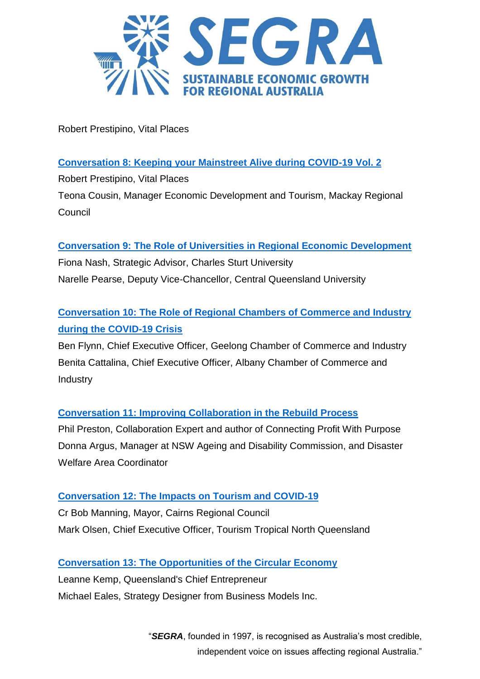

Robert Prestipino, Vital Places

#### **[Conversation 8: Keeping your Mainstreet Alive during COVID-19 Vol. 2](https://www.youtube.com/watch?v=tQQsoLFF6Ec&list=PLtOXa4OwTTuM-K6jTyKee1St5993DggYA&index=8)**

Robert Prestipino, Vital Places Teona Cousin, Manager Economic Development and Tourism, Mackay Regional **Council** 

**Conversation 9: [The Role of Universities in Regional Economic Development](https://www.youtube.com/watch?v=9vcJie-_ngk&list=PLtOXa4OwTTuM-K6jTyKee1St5993DggYA&index=9)**

Fiona Nash, Strategic Advisor, Charles Sturt University Narelle Pearse, Deputy Vice-Chancellor, Central Queensland University

# **[Conversation 10: The Role of Regional Chambers of Commerce and Industry](https://www.youtube.com/watch?v=41JmkRgkVpE&list=PLtOXa4OwTTuM-K6jTyKee1St5993DggYA&index=10)  [during the COVID-19 Crisis](https://www.youtube.com/watch?v=41JmkRgkVpE&list=PLtOXa4OwTTuM-K6jTyKee1St5993DggYA&index=10)**

Ben Flynn, Chief Executive Officer, Geelong Chamber of Commerce and Industry Benita Cattalina, Chief Executive Officer, Albany Chamber of Commerce and **Industry** 

#### **[Conversation 11: Improving Collaboration in the Rebuild Process](https://www.youtube.com/watch?v=ijKWAkqyScc&list=PLtOXa4OwTTuM-K6jTyKee1St5993DggYA&index=11)**

Phil Preston, Collaboration Expert and author of Connecting Profit With Purpose Donna Argus, Manager at NSW Ageing and Disability Commission, and Disaster Welfare Area Coordinator

#### **[Conversation 12: The Impacts on Tourism and COVID-19](https://www.youtube.com/watch?v=D2qsOcDjMiw&list=PLtOXa4OwTTuM-K6jTyKee1St5993DggYA&index=12)**

Cr Bob Manning, Mayor, Cairns Regional Council Mark Olsen, Chief Executive Officer, Tourism Tropical North Queensland

#### **[Conversation 13: The Opportunities of the Circular Economy](https://www.youtube.com/watch?v=ZGe8LFF5_xw&list=PLtOXa4OwTTuM-K6jTyKee1St5993DggYA&index=13)**

Leanne Kemp, Queensland's Chief Entrepreneur Michael Eales, Strategy Designer from Business Models Inc.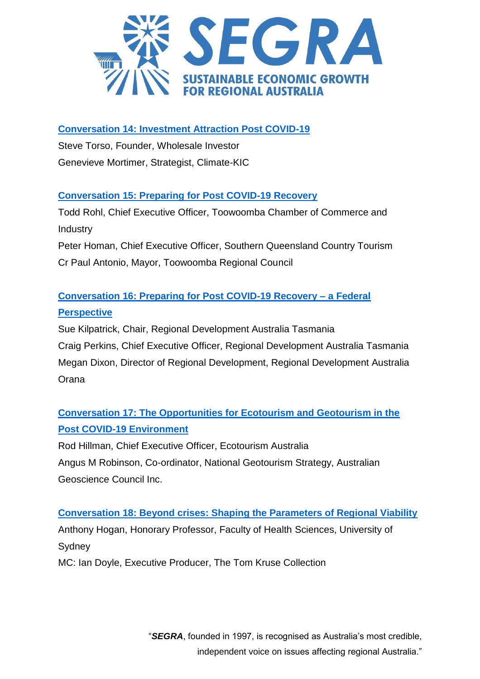

#### **[Conversation 14: Investment Attraction Post COVID-19](https://www.youtube.com/watch?v=EWYZzfQG7Oc&list=PLtOXa4OwTTuM-K6jTyKee1St5993DggYA&index=14)**

Steve Torso, Founder, Wholesale Investor Genevieve Mortimer, Strategist, Climate-KIC

#### **[Conversation 15: Preparing for Post COVID-19 Recovery](https://www.youtube.com/watch?v=yDuuZH5Jg_8&list=PLtOXa4OwTTuM-K6jTyKee1St5993DggYA&index=15)**

Todd Rohl, Chief Executive Officer, Toowoomba Chamber of Commerce and **Industry** Peter Homan, Chief Executive Officer, Southern Queensland Country Tourism Cr Paul Antonio, Mayor, Toowoomba Regional Council

### **[Conversation 16: Preparing for Post COVID-19 Recovery –](https://www.youtube.com/watch?v=LfJRWVb2SlA&list=PLtOXa4OwTTuM-K6jTyKee1St5993DggYA&index=16) a Federal [Perspective](https://www.youtube.com/watch?v=LfJRWVb2SlA&list=PLtOXa4OwTTuM-K6jTyKee1St5993DggYA&index=16)**

Sue Kilpatrick, Chair, Regional Development Australia Tasmania Craig Perkins, Chief Executive Officer, Regional Development Australia Tasmania Megan Dixon, Director of Regional Development, Regional Development Australia **Orana** 

## **[Conversation 17: The Opportunities for Ecotourism and Geotourism in the](https://www.youtube.com/watch?v=DV2PZLEsfk4&list=PLtOXa4OwTTuM-K6jTyKee1St5993DggYA&index=17)  [Post COVID-19 Environment](https://www.youtube.com/watch?v=DV2PZLEsfk4&list=PLtOXa4OwTTuM-K6jTyKee1St5993DggYA&index=17)**

Rod Hillman, Chief Executive Officer, Ecotourism Australia Angus M Robinson, Co-ordinator, National Geotourism Strategy, Australian Geoscience Council Inc.

#### **[Conversation 18: Beyond crises: Shaping the Parameters of Regional Viability](https://www.youtube.com/watch?v=TjPBDd3XtxU&list=PLtOXa4OwTTuM-K6jTyKee1St5993DggYA&index=18)**

Anthony Hogan, Honorary Professor, Faculty of Health Sciences, University of Sydney

MC: Ian Doyle, Executive Producer, The Tom Kruse Collection